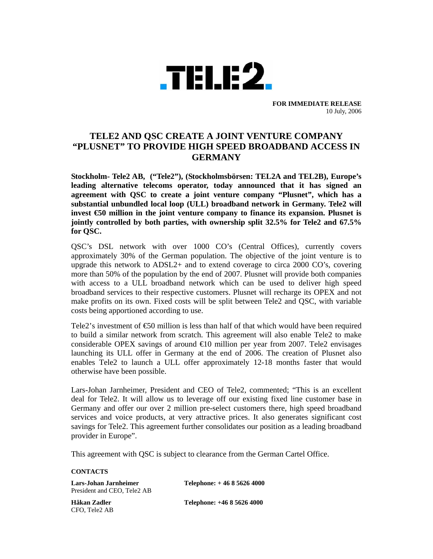

**FOR IMMEDIATE RELEASE**  10 July, 2006

## **TELE2 AND QSC CREATE A JOINT VENTURE COMPANY "PLUSNET" TO PROVIDE HIGH SPEED BROADBAND ACCESS IN GERMANY**

**Stockholm- Tele2 AB, ("Tele2"), (Stockholmsbörsen: TEL2A and TEL2B), Europe's leading alternative telecoms operator, today announced that it has signed an agreement with QSC to create a joint venture company "Plusnet", which has a substantial unbundled local loop (ULL) broadband network in Germany. Tele2 will invest €50 million in the joint venture company to finance its expansion. Plusnet is jointly controlled by both parties, with ownership split 32.5% for Tele2 and 67.5% for QSC.** 

QSC's DSL network with over 1000 CO's (Central Offices), currently covers approximately 30% of the German population. The objective of the joint venture is to upgrade this network to ADSL2+ and to extend coverage to circa 2000 CO's, covering more than 50% of the population by the end of 2007. Plusnet will provide both companies with access to a ULL broadband network which can be used to deliver high speed broadband services to their respective customers. Plusnet will recharge its OPEX and not make profits on its own. Fixed costs will be split between Tele2 and QSC, with variable costs being apportioned according to use.

Tele2's investment of  $\epsilon$ 50 million is less than half of that which would have been required to build a similar network from scratch. This agreement will also enable Tele2 to make considerable OPEX savings of around  $\bigoplus$  million per year from 2007. Tele2 envisages launching its ULL offer in Germany at the end of 2006. The creation of Plusnet also enables Tele2 to launch a ULL offer approximately 12-18 months faster that would otherwise have been possible.

Lars-Johan Jarnheimer, President and CEO of Tele2, commented; "This is an excellent deal for Tele2. It will allow us to leverage off our existing fixed line customer base in Germany and offer our over 2 million pre-select customers there, high speed broadband services and voice products, at very attractive prices. It also generates significant cost savings for Tele2. This agreement further consolidates our position as a leading broadband provider in Europe".

This agreement with QSC is subject to clearance from the German Cartel Office.

## **CONTACTS**

President and CEO, Tele2 AB

**Lars-Johan Jarnheimer Telephone: + 46 8 5626 4000** 

CFO, Tele2 AB

**Håkan Zadler Telephone: +46 8 5626 4000**